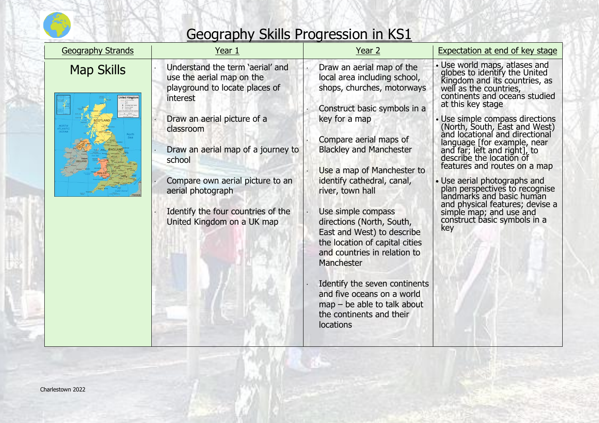

| <b>Geography Strands</b> | Year 1                                                                                                                                                                                                                                                                                                                               | Year 2                                                                                                                                                                                                                                                                                                                                                                                                                                                                                                                                                                                         | <b>Expectation at end of key stage</b>                                                                                                                                                                                                                                                                                                                                                                                                                                                                                                                                                                               |
|--------------------------|--------------------------------------------------------------------------------------------------------------------------------------------------------------------------------------------------------------------------------------------------------------------------------------------------------------------------------------|------------------------------------------------------------------------------------------------------------------------------------------------------------------------------------------------------------------------------------------------------------------------------------------------------------------------------------------------------------------------------------------------------------------------------------------------------------------------------------------------------------------------------------------------------------------------------------------------|----------------------------------------------------------------------------------------------------------------------------------------------------------------------------------------------------------------------------------------------------------------------------------------------------------------------------------------------------------------------------------------------------------------------------------------------------------------------------------------------------------------------------------------------------------------------------------------------------------------------|
| <b>Map Skills</b>        | Understand the term 'aerial' and<br>use the aerial map on the<br>playground to locate places of<br>interest<br>Draw an aerial picture of a<br>classroom<br>Draw an aerial map of a journey to<br>school<br>Compare own aerial picture to an<br>aerial photograph<br>Identify the four countries of the<br>United Kingdom on a UK map | Draw an aerial map of the<br>local area including school,<br>shops, churches, motorways<br>Construct basic symbols in a<br>key for a map<br>Compare aerial maps of<br><b>Blackley and Manchester</b><br>Use a map of Manchester to<br>identify cathedral, canal,<br>river, town hall<br>Use simple compass<br>directions (North, South,<br>East and West) to describe<br>the location of capital cities<br>and countries in relation to<br>Manchester<br>Identify the seven continents<br>and five oceans on a world<br>$map - be$ able to talk about<br>the continents and their<br>locations | • Use world maps, atlases and<br>globes to identify the United<br>Kingdom and its countries, as<br>well as the countries,<br>continents and oceans studied<br>at this key stage<br>• Use simple compass directions<br>(North, South, East and West)<br>and locational and directional<br>language [for example, near<br>and far, left and right], to<br>describe the location of<br>features and routes on a map<br>• Use aerial photographs and<br>plan perspectives to recognise<br>landmarks and basic human<br>and physical features; devise a<br>simple map; and use and<br>construct basic symbols in a<br>key |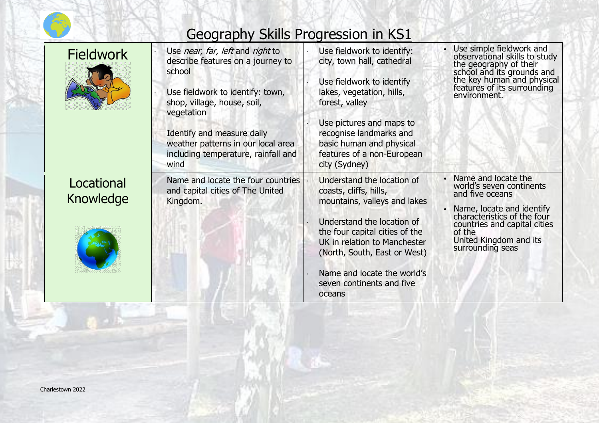

| <b>Fieldwork</b>        | Use near, far, left and right to<br>describe features on a journey to<br>school<br>Use fieldwork to identify: town,<br>shop, village, house, soil,<br>vegetation<br>Identify and measure daily<br>weather patterns in our local area<br>including temperature, rainfall and<br>wind | Use fieldwork to identify:<br>city, town hall, cathedral<br>Use fieldwork to identify<br>lakes, vegetation, hills,<br>forest, valley<br>Use pictures and maps to<br>recognise landmarks and<br>basic human and physical<br>features of a non-European<br>city (Sydney)                     | Use simple fieldwork and<br>observational skills to study<br>the geography of their<br>school and its grounds and<br>the key human and physical<br>features of its surrounding<br>environment.                         |
|-------------------------|-------------------------------------------------------------------------------------------------------------------------------------------------------------------------------------------------------------------------------------------------------------------------------------|--------------------------------------------------------------------------------------------------------------------------------------------------------------------------------------------------------------------------------------------------------------------------------------------|------------------------------------------------------------------------------------------------------------------------------------------------------------------------------------------------------------------------|
| Locational<br>Knowledge | Name and locate the four countries<br>and capital cities of The United<br>Kingdom.                                                                                                                                                                                                  | Understand the location of<br>coasts, cliffs, hills,<br>mountains, valleys and lakes<br>Understand the location of<br>the four capital cities of the<br>UK in relation to Manchester<br>(North, South, East or West)<br>Name and locate the world's<br>seven continents and five<br>oceans | Name and locate the<br>world's seven continents<br>and five oceans<br>Name, locate and identify<br>characteristics of the four<br>countries and capital cities<br>of the<br>United Kingdom and its<br>surrounding seas |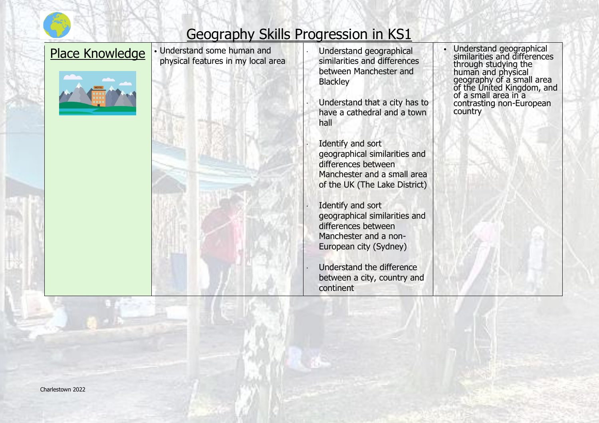



Place Knowledge • Understand some human and physical features in my local area



- Understand geographical similarities and differences between Manchester and **Blackley**
- Understand that a city has to have a cathedral and a town hall
	- Identify and sort geographical similarities and differences between Manchester and a small area of the UK (The Lake District)
- Identify and sort geographical similarities and differences between Manchester and a non-European city (Sydney)
- Understand the difference between a city, country and continent

• Understand geographical similarities and differences through studying the human and physical geography of a small area of the United Kingdom, and of a small area in a contrasting non-European country